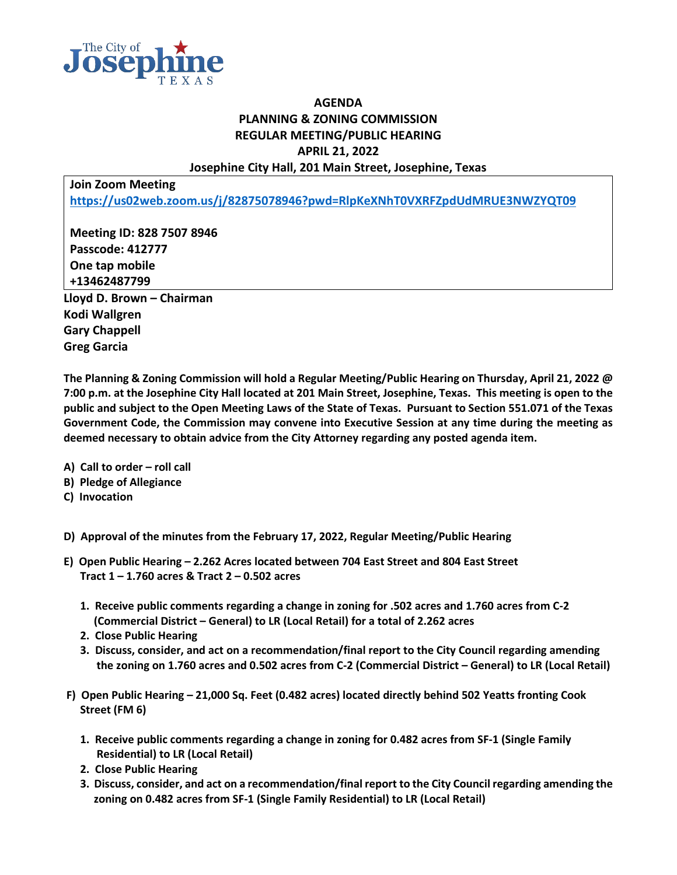

## **AGENDA PLANNING & ZONING COMMISSION REGULAR MEETING/PUBLIC HEARING APRIL 21, 2022 Josephine City Hall, 201 Main Street, Josephine, Texas**

**Join Zoom Meeting <https://us02web.zoom.us/j/82875078946?pwd=RlpKeXNhT0VXRFZpdUdMRUE3NWZYQT09>**

**Meeting ID: 828 7507 8946 Passcode: 412777 One tap mobile +13462487799 Lloyd D. Brown – Chairman Kodi Wallgren Gary Chappell**

**Greg Garcia**

**The Planning & Zoning Commission will hold a Regular Meeting/Public Hearing on Thursday, April 21, 2022 @ 7:00 p.m. at the Josephine City Hall located at 201 Main Street, Josephine, Texas. This meeting is open to the public and subject to the Open Meeting Laws of the State of Texas. Pursuant to Section 551.071 of the Texas Government Code, the Commission may convene into Executive Session at any time during the meeting as deemed necessary to obtain advice from the City Attorney regarding any posted agenda item.**

- **A) Call to order – roll call**
- **B) Pledge of Allegiance**
- **C) Invocation**
- **D) Approval of the minutes from the February 17, 2022, Regular Meeting/Public Hearing**
- **E) Open Public Hearing – 2.262 Acres located between 704 East Street and 804 East Street Tract 1 – 1.760 acres & Tract 2 – 0.502 acres**
	- **1. Receive public comments regarding a change in zoning for .502 acres and 1.760 acres from C-2 (Commercial District – General) to LR (Local Retail) for a total of 2.262 acres**
	- **2. Close Public Hearing**
	- **3. Discuss, consider, and act on a recommendation/final report to the City Council regarding amending the zoning on 1.760 acres and 0.502 acres from C-2 (Commercial District – General) to LR (Local Retail)**
- **F) Open Public Hearing – 21,000 Sq. Feet (0.482 acres) located directly behind 502 Yeatts fronting Cook Street (FM 6)**
	- **1. Receive public comments regarding a change in zoning for 0.482 acres from SF-1 (Single Family Residential) to LR (Local Retail)**
	- **2. Close Public Hearing**
	- **3. Discuss, consider, and act on a recommendation/final report to the City Council regarding amending the zoning on 0.482 acres from SF-1 (Single Family Residential) to LR (Local Retail)**